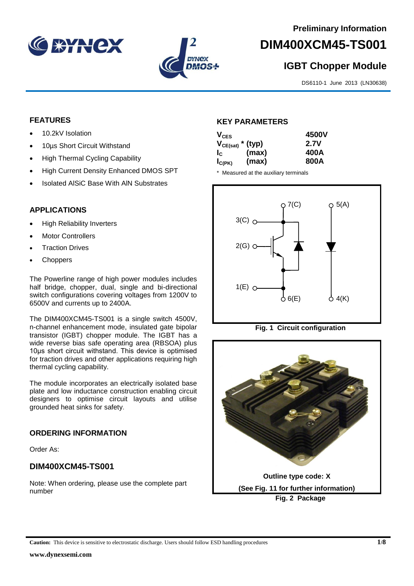



# **DIM400XCM45-TS001**

# **IGBT Chopper Module**

DS6110-1 June 2013 (LN30638)

### **FEATURES**

- 10.2kV Isolation
- 10us Short Circuit Withstand
- High Thermal Cycling Capability
- High Current Density Enhanced DMOS SPT
- Isolated AlSiC Base With AlN Substrates

## **APPLICATIONS**

- High Reliability Inverters
- Motor Controllers
- Traction Drives
- **Choppers**

The Powerline range of high power modules includes half bridge, chopper, dual, single and bi-directional switch configurations covering voltages from 1200V to 6500V and currents up to 2400A.

The DIM400XCM45-TS001 is a single switch 4500V, n-channel enhancement mode, insulated gate bipolar transistor (IGBT) chopper module. The IGBT has a wide reverse bias safe operating area (RBSOA) plus 10μs short circuit withstand. This device is optimised for traction drives and other applications requiring high thermal cycling capability.

The module incorporates an electrically isolated base plate and low inductance construction enabling circuit designers to optimise circuit layouts and utilise grounded heat sinks for safety.

#### **ORDERING INFORMATION**

Order As:

# **DIM400XCM45-TS001**

Note: When ordering, please use the complete part number

#### **KEY PARAMETERS**

|       | 4500V                 |
|-------|-----------------------|
|       | <b>2.7V</b>           |
| (max) | 400A                  |
| (max) | 800A                  |
|       | $V_{CE(sat)}$ * (typ) |

\* Measured at the auxiliary terminals







**Caution:** This device is sensitive to electrostatic discharge. Users should follow ESD handling procedures **1/8**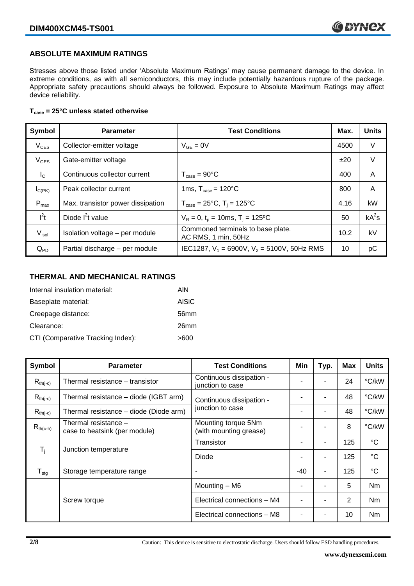#### **ABSOLUTE MAXIMUM RATINGS**

Stresses above those listed under 'Absolute Maximum Ratings' may cause permanent damage to the device. In extreme conditions, as with all semiconductors, this may include potentially hazardous rupture of the package. Appropriate safety precautions should always be followed. Exposure to Absolute Maximum Ratings may affect device reliability.

#### **Tcase = 25°C unless stated otherwise**

| Symbol            | <b>Parameter</b>                  | <b>Test Conditions</b>                                   |      | <b>Units</b> |
|-------------------|-----------------------------------|----------------------------------------------------------|------|--------------|
| $V_{CES}$         | Collector-emitter voltage         | $V_{GF} = 0V$                                            | 4500 | V            |
| $V_{GES}$         | Gate-emitter voltage              |                                                          | ±20  | V            |
| $I_{\rm C}$       | Continuous collector current      | $T_{\text{case}} = 90^{\circ}$ C                         | 400  | A            |
| $I_{C(PK)}$       | Peak collector current            | 1ms, $T_{\text{case}} = 120^{\circ}$ C                   | 800  | A            |
| $P_{\text{max}}$  | Max. transistor power dissipation | $T_{\text{case}} = 25^{\circ}C$ , $T_i = 125^{\circ}C$   | 4.16 | kW           |
| $I^2t$            | Diode $I^2t$ value                | $V_R = 0$ , $t_p = 10$ ms, $T_i = 125$ °C                | 50   | $kA^2s$      |
| V <sub>isol</sub> | Isolation voltage - per module    | Commoned terminals to base plate.<br>AC RMS, 1 min, 50Hz | 10.2 | kV           |
| $Q_{PD}$          | Partial discharge - per module    | IEC1287, $V_1$ = 6900V, $V_2$ = 5100V, 50Hz RMS          | 10   | рC           |

#### **THERMAL AND MECHANICAL RATINGS**

| Internal insulation material:     | AIN              |
|-----------------------------------|------------------|
| Baseplate material:               | <b>AISiC</b>     |
| Creepage distance:                | 56 <sub>mm</sub> |
| Clearance:                        | 26mm             |
| CTI (Comparative Tracking Index): | >600             |

| Symbol                        | <b>Parameter</b>                                                                                       | <b>Test Conditions</b>                       | Min   | Typ.           | <b>Max</b>  | <b>Units</b> |
|-------------------------------|--------------------------------------------------------------------------------------------------------|----------------------------------------------|-------|----------------|-------------|--------------|
| $R_{th(i-c)}$                 | Thermal resistance – transistor                                                                        | Continuous dissipation -<br>junction to case |       |                | 24          | °C/kW        |
| $R_{th(j-c)}$                 | Thermal resistance – diode (IGBT arm)                                                                  | Continuous dissipation -                     |       |                | 48          | °C/kW        |
| $R_{th(i-c)}$                 | Thermal resistance - diode (Diode arm)                                                                 | junction to case                             |       | $\blacksquare$ | 48          | °C/kW        |
| $R_{th(c-h)}$                 | Thermal resistance -<br>Mounting torque 5Nm<br>(with mounting grease)<br>case to heatsink (per module) |                                              |       | ۰              | 8           | °C/kW        |
| $T_i$<br>Junction temperature |                                                                                                        | Transistor                                   |       | $\blacksquare$ | 125         | $^{\circ}C$  |
|                               | Diode                                                                                                  |                                              | ۰     | 125            | $^{\circ}C$ |              |
| ${\mathsf T}_{\text{stg}}$    | Storage temperature range                                                                              |                                              | $-40$ | $\blacksquare$ | 125         | $^{\circ}C$  |
|                               |                                                                                                        | Mounting - M6                                |       |                | 5           | Nm           |
|                               | Screw torque                                                                                           | Electrical connections - M4                  |       | $\blacksquare$ | 2           | Nm           |
|                               |                                                                                                        | Electrical connections - M8                  |       |                | 10          | Nm           |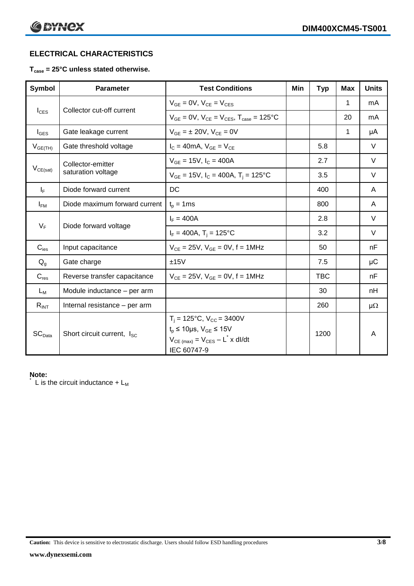# **ELECTRICAL CHARACTERISTICS**

#### **Tcase = 25°C unless stated otherwise.**

| Symbol                         | <b>Parameter</b>                       | <b>Test Conditions</b>                                                                                                                                      | Min | <b>Typ</b> | <b>Max</b>   | <b>Units</b> |
|--------------------------------|----------------------------------------|-------------------------------------------------------------------------------------------------------------------------------------------------------------|-----|------------|--------------|--------------|
|                                | $V_{GF} = 0V$ , $V_{CE} = V_{CES}$     |                                                                                                                                                             |     | 1          | mA           |              |
| $I_{\text{CES}}$               | Collector cut-off current              | $V_{GF} = 0V$ , $V_{CF} = V_{CES}$ , $T_{case} = 125^{\circ}C$                                                                                              |     |            | 20           | mA           |
| $I_{\text{GES}}$               | Gate leakage current                   | $V_{GF} = \pm 20V$ , $V_{CF} = 0V$                                                                                                                          |     |            | $\mathbf{1}$ | μA           |
| $V_{GE(TH)}$                   | Gate threshold voltage                 | $I_C = 40mA$ , $V_{GF} = V_{CF}$                                                                                                                            |     | 5.8        |              | V            |
|                                | Collector-emitter                      | $V_{GE}$ = 15V, $I_C$ = 400A                                                                                                                                |     | 2.7        |              | V            |
| $V_{CE(sat)}$                  | saturation voltage                     | $V_{GF}$ = 15V, $I_C$ = 400A, T <sub>i</sub> = 125°C                                                                                                        |     | 3.5        |              | V            |
| $I_F$                          | Diode forward current                  | DC                                                                                                                                                          |     | 400        |              | A            |
| $I_{FM}$                       | Diode maximum forward current          | $t_p = 1$ ms                                                                                                                                                |     | 800        |              | A            |
|                                |                                        | $I_F = 400A$                                                                                                                                                |     | 2.8        |              | $\vee$       |
| $V_F$<br>Diode forward voltage |                                        | $I_F = 400A$ , $T_i = 125^{\circ}C$                                                                                                                         |     | 3.2        |              | $\vee$       |
| $C_{\text{ies}}$               | Input capacitance                      | $V_{CE} = 25V$ , $V_{GE} = 0V$ , f = 1MHz                                                                                                                   |     | 50         |              | nF           |
| $Q_g$                          | Gate charge                            | ±15V                                                                                                                                                        |     | 7.5        |              | μC           |
| $C_{res}$                      | Reverse transfer capacitance           | $V_{CE} = 25V$ , $V_{GE} = 0V$ , f = 1MHz                                                                                                                   |     | <b>TBC</b> |              | nF           |
| $L_M$                          | Module inductance - per arm            |                                                                                                                                                             |     | 30         |              | nH           |
| $R_{INT}$                      | Internal resistance - per arm          |                                                                                                                                                             |     | 260        |              | $\mu\Omega$  |
| SC <sub>Data</sub>             | Short circuit current, I <sub>SC</sub> | $T_i = 125$ °C, $V_{CC} = 3400V$<br>$t_p \le 10 \mu s$ , $V_{GE} \le 15 V$<br>$V_{CE \text{ (max)}} = V_{CES} - L^{\dagger} x \text{ dI/dt}$<br>IEC 60747-9 |     | 1200       |              | A            |

#### **Note:**

L is the circuit inductance  $+ L_M$ 

**Caution:** This device is sensitive to electrostatic discharge. Users should follow ESD handling procedures **3/8**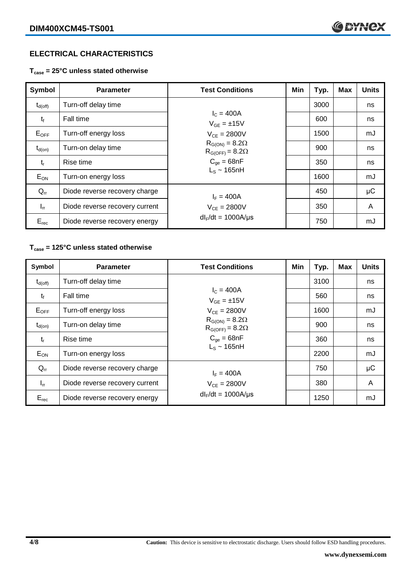# **ELECTRICAL CHARACTERISTICS**

**Tcase = 25°C unless stated otherwise**

| Symbol              | <b>Parameter</b>               | <b>Test Conditions</b>                              | Min | Typ. | Max | <b>Units</b> |
|---------------------|--------------------------------|-----------------------------------------------------|-----|------|-----|--------------|
| $t_{d(\text{off})}$ | Turn-off delay time            |                                                     |     | 3000 |     | ns           |
| $t_{\rm f}$         | <b>Fall time</b>               | $I_C = 400A$<br>$V_{GF} = \pm 15V$                  |     | 600  |     | ns           |
| $E_{OFF}$           | Turn-off energy loss           | $V_{CF} = 2800V$                                    |     | 1500 |     | mJ           |
| $t_{d(on)}$         | Turn-on delay time             | $R_{G(ON)} = 8.2\Omega$<br>$R_{G(OFF)} = 8.2\Omega$ |     | 900  |     | ns           |
| $t_{r}$             | Rise time                      | $C_{\text{oe}} = 68nF$<br>$L_s \sim 165$ nH         |     | 350  |     | ns           |
| $E_{ON}$            | Turn-on energy loss            |                                                     |     | 1600 |     | mJ           |
| $Q_{rr}$            | Diode reverse recovery charge  | $I_F = 400A$                                        |     | 450  |     | $\mu$ C      |
| $I_{rr}$            | Diode reverse recovery current | $V_{CE} = 2800V$                                    |     | 350  |     | A            |
| $E_{rec}$           | Diode reverse recovery energy  | $dl_F/dt = 1000A/\mu s$                             |     | 750  |     | mJ           |

## **Tcase = 125°C unless stated otherwise**

| Symbol       | <b>Parameter</b>               | <b>Test Conditions</b>                                                                      | Min | Typ. | <b>Max</b> | <b>Units</b> |
|--------------|--------------------------------|---------------------------------------------------------------------------------------------|-----|------|------------|--------------|
| $t_{d(off)}$ | Turn-off delay time            |                                                                                             |     | 3100 |            | ns           |
| $t_{\rm f}$  | Fall time                      | $I_c = 400A$<br>$V_{GE} = \pm 15V$                                                          |     | 560  |            | ns           |
| $E_{OFF}$    | Turn-off energy loss           | $V_{CE} = 2800V$                                                                            |     | 1600 |            | mJ           |
| $t_{d(on)}$  | Turn-on delay time             | $R_{G(ON)} = 8.2\Omega$<br>$R_{G(OFF)} = 8.2\Omega$<br>$C_{qe} = 68nF$<br>$L_s \sim 165$ nH |     | 900  |            | ns           |
| $t_{r}$      | Rise time                      |                                                                                             |     | 360  |            | ns           |
| $E_{ON}$     | Turn-on energy loss            |                                                                                             |     | 2200 |            | mJ           |
| $Q_{rr}$     | Diode reverse recovery charge  | $I_F = 400A$                                                                                |     | 750  |            | μC           |
| $I_{rr}$     | Diode reverse recovery current | $V_{CE} = 2800V$                                                                            |     | 380  |            | A            |
| $E_{rec}$    | Diode reverse recovery energy  | $dl_F/dt = 1000A/\mu s$                                                                     |     | 1250 |            | mJ           |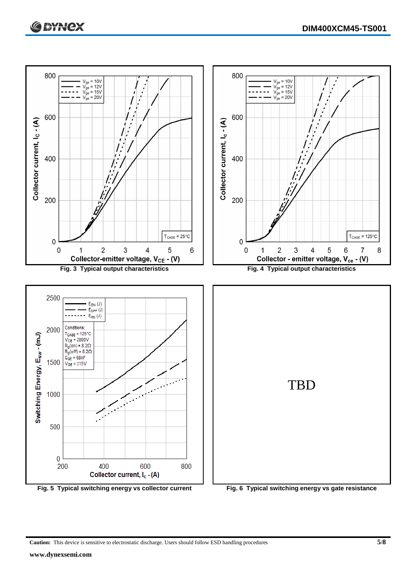



**Caution:** This device is sensitive to electrostatic discharge. Users should follow ESD handling procedures **5/8**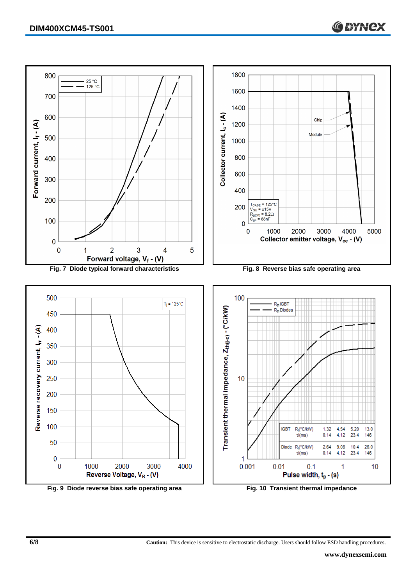

**6/8 Caution:** This device is sensitive to electrostatic discharge. Users should follow ESD handling procedures.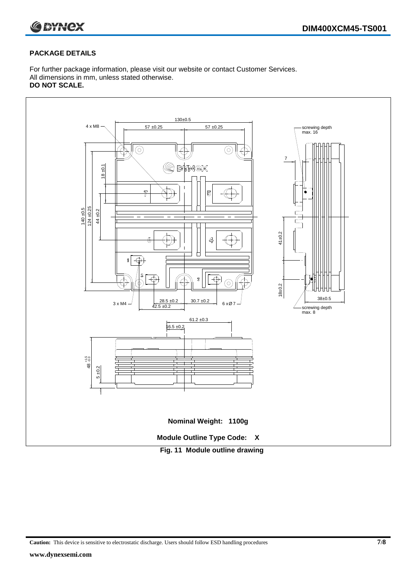

#### **PACKAGE DETAILS**

For further package information, please visit our website or contact Customer Services. All dimensions in mm, unless stated otherwise. **DO NOT SCALE.**



**Caution:** This device is sensitive to electrostatic discharge. Users should follow ESD handling procedures **7/8**